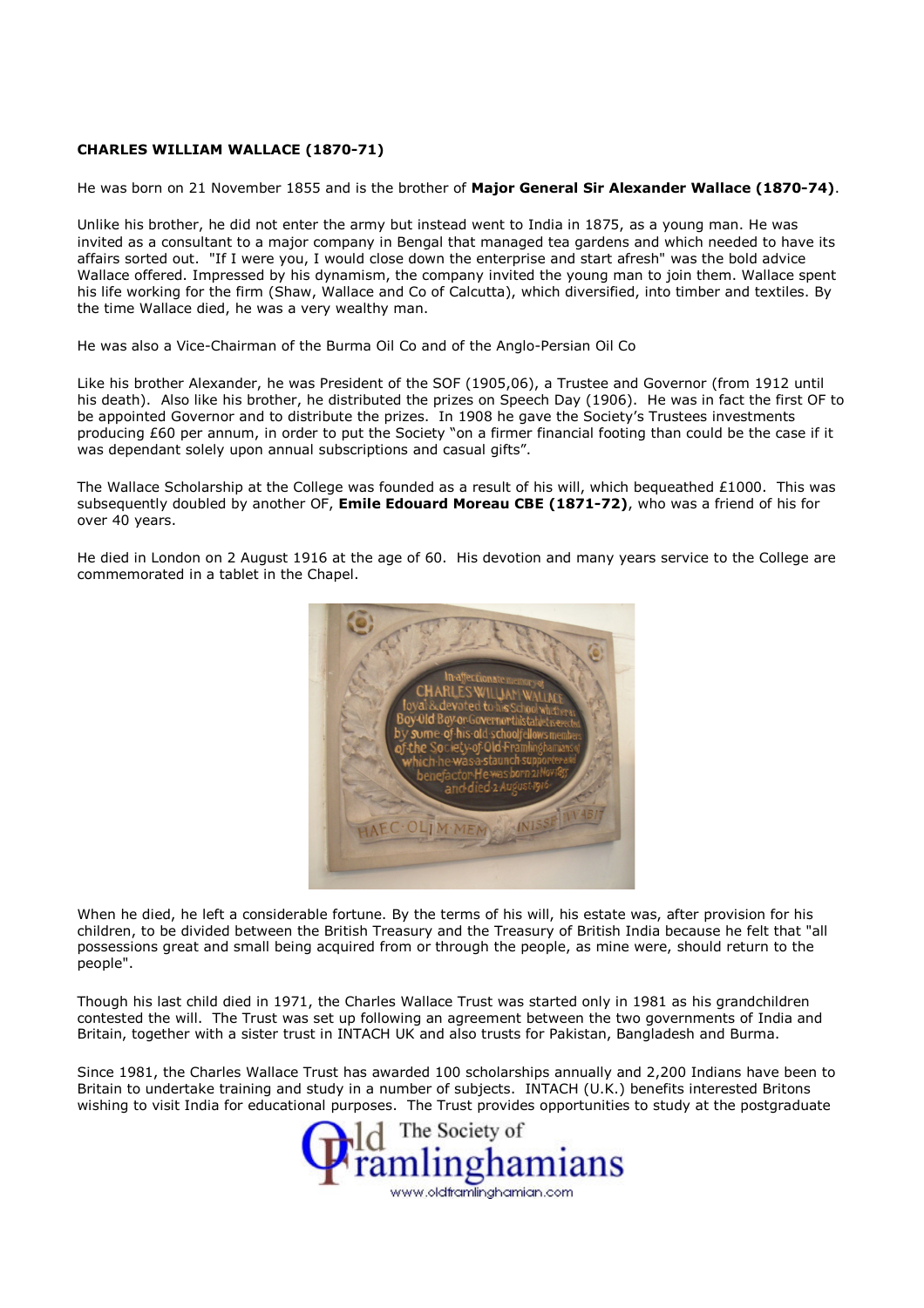## CHARLES WILLIAM WALLACE (1870-71)

He was born on 21 November 1855 and is the brother of Major General Sir Alexander Wallace (1870-74).

Unlike his brother, he did not enter the army but instead went to India in 1875, as a young man. He was invited as a consultant to a major company in Bengal that managed tea gardens and which needed to have its affairs sorted out. "If I were you, I would close down the enterprise and start afresh" was the bold advice Wallace offered. Impressed by his dynamism, the company invited the young man to join them. Wallace spent his life working for the firm (Shaw, Wallace and Co of Calcutta), which diversified, into timber and textiles. By the time Wallace died, he was a very wealthy man.

He was also a Vice-Chairman of the Burma Oil Co and of the Anglo-Persian Oil Co

Like his brother Alexander, he was President of the SOF (1905,06), a Trustee and Governor (from 1912 until his death). Also like his brother, he distributed the prizes on Speech Day (1906). He was in fact the first OF to be appointed Governor and to distribute the prizes. In 1908 he gave the Society's Trustees investments producing £60 per annum, in order to put the Society "on a firmer financial footing than could be the case if it was dependant solely upon annual subscriptions and casual gifts".

The Wallace Scholarship at the College was founded as a result of his will, which bequeathed £1000. This was subsequently doubled by another OF, Emile Edouard Moreau CBE (1871-72), who was a friend of his for over 40 years.

He died in London on 2 August 1916 at the age of 60. His devotion and many years service to the College are commemorated in a tablet in the Chapel.



When he died, he left a considerable fortune. By the terms of his will, his estate was, after provision for his children, to be divided between the British Treasury and the Treasury of British India because he felt that "all possessions great and small being acquired from or through the people, as mine were, should return to the people".

Though his last child died in 1971, the Charles Wallace Trust was started only in 1981 as his grandchildren contested the will. The Trust was set up following an agreement between the two governments of India and Britain, together with a sister trust in INTACH UK and also trusts for Pakistan, Bangladesh and Burma.

Since 1981, the Charles Wallace Trust has awarded 100 scholarships annually and 2,200 Indians have been to Britain to undertake training and study in a number of subjects. INTACH (U.K.) benefits interested Britons wishing to visit India for educational purposes. The Trust provides opportunities to study at the postgraduate